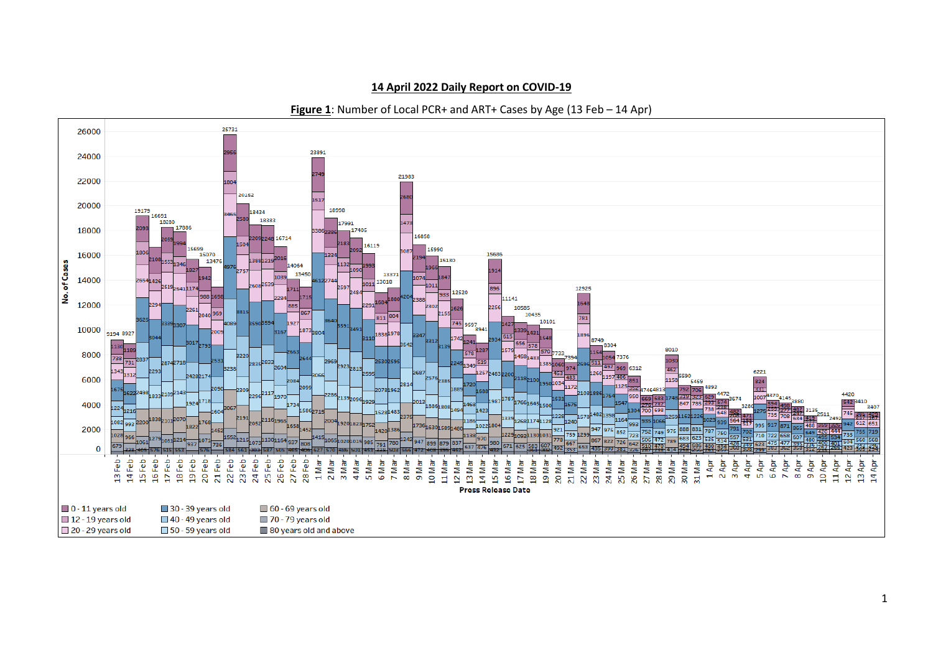## **April 2022 Daily Report on COVID-19**

## **Figure 1**: Number of Local PCR+ and ART+ Cases by Age (13 Feb – 14 Apr)

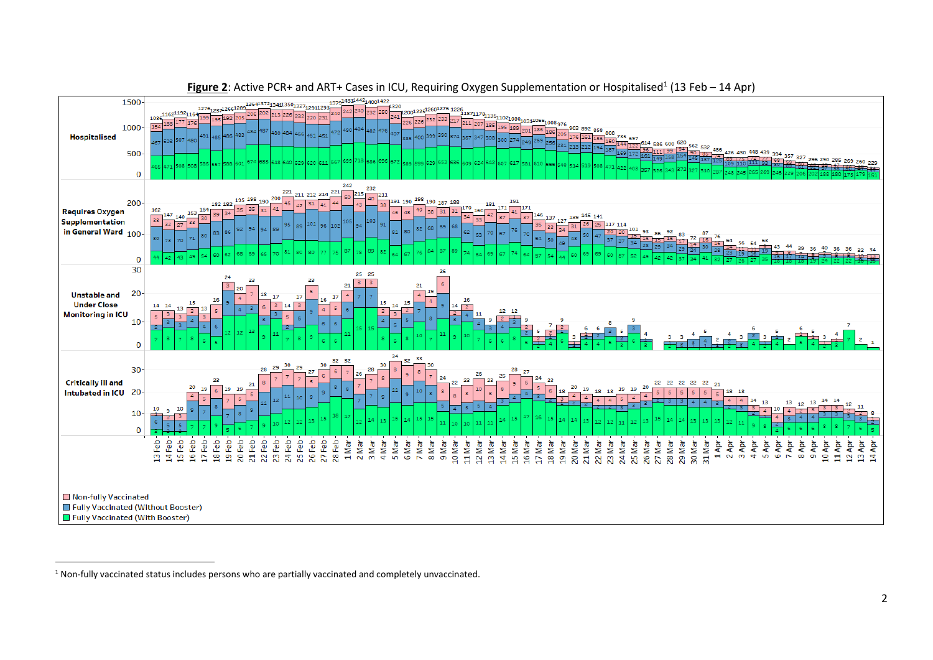

**Figure 2**: Active PCR+ and ART+ Cases in ICU, Requiring Oxygen Supplementation or Hospitalised<sup>1</sup> (13 Feb – 14 Apr)

Non-fully vaccinated status includes persons who are partially vaccinated and completely unvaccinated.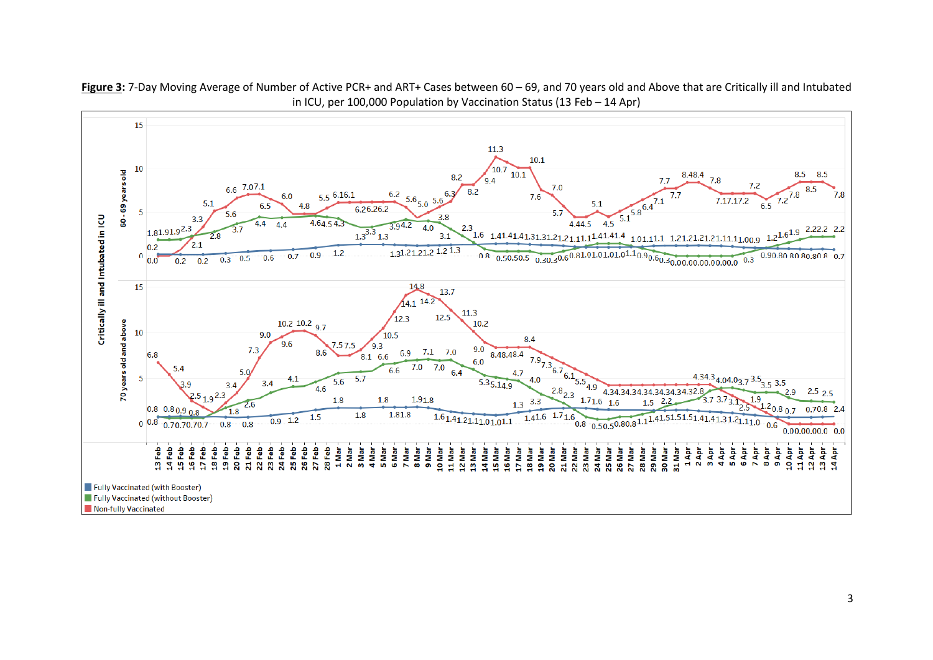

**Figure 3:** 7-Day Moving Average of Number of Active PCR+ and ART+ Cases between 60 – 69, and 70 years old and Above that are Critically ill and Intubated in ICU, per 100,000 Population by Vaccination Status (13 Feb – 14 Apr)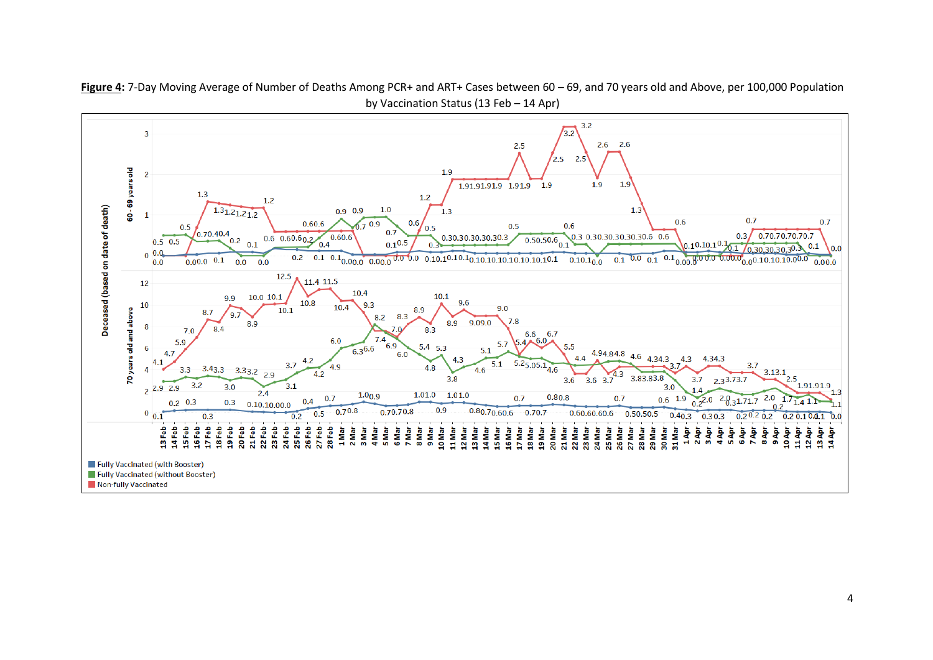

**Figure 4:** 7-Day Moving Average of Number of Deaths Among PCR+ and ART+ Cases between 60 – 69, and 70 years old and Above, per 100,000 Population by Vaccination Status (13 Feb – 14 Apr)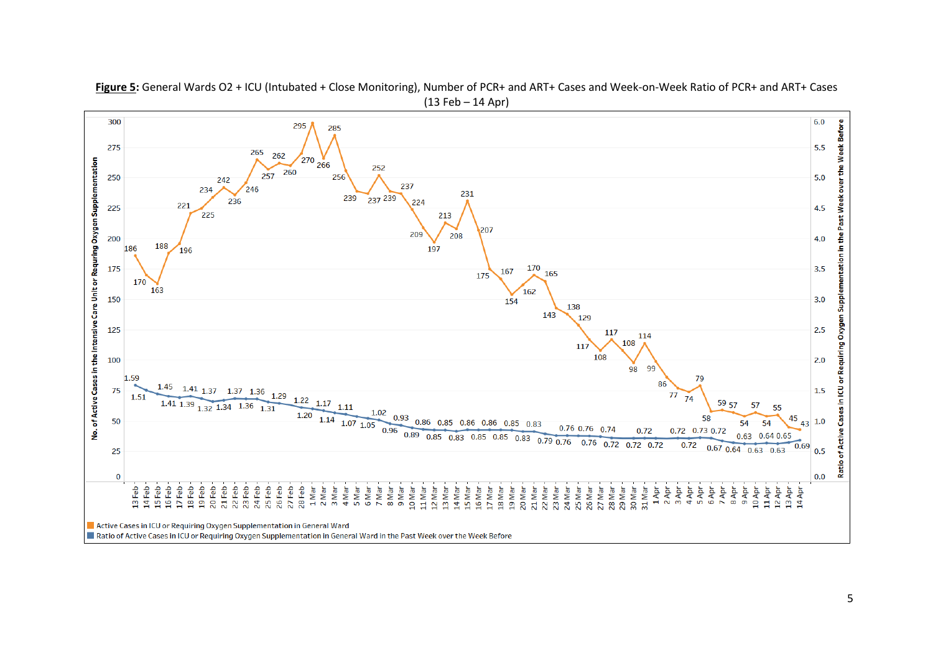

**Figure 5:** General Wards O2 + ICU (Intubated + Close Monitoring), Number of PCR+ and ART+ Cases and Week-on-Week Ratio of PCR+ and ART+ Cases (13 Feb – 14 Apr)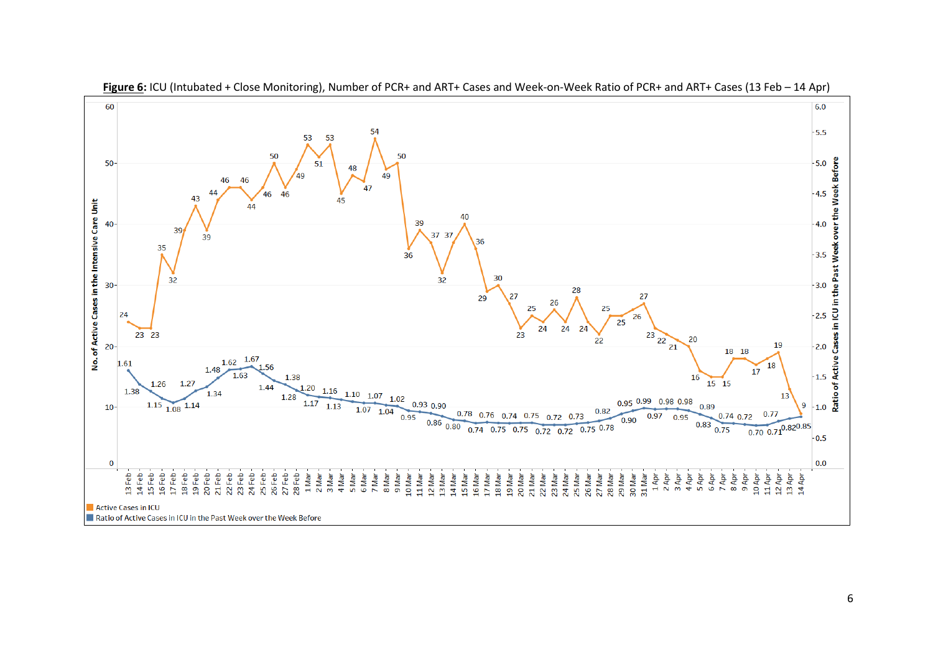